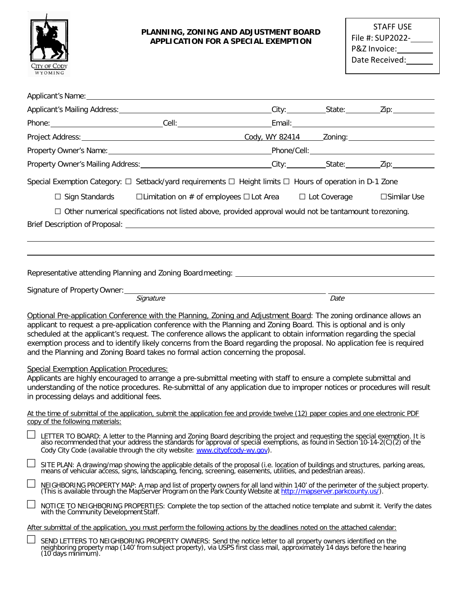

## **PLANNING, ZONING AND ADJUSTMENT BOARD APPLICATION FOR A SPECIAL EXEMPTION**

| Applicant's Name:                                                                                                                                                                                                                                                                                                                                                                                                                                                                                                                                                                 |                                                                                                                                                                                                                                                                                                               |                                                                                            |      |  |  |  |
|-----------------------------------------------------------------------------------------------------------------------------------------------------------------------------------------------------------------------------------------------------------------------------------------------------------------------------------------------------------------------------------------------------------------------------------------------------------------------------------------------------------------------------------------------------------------------------------|---------------------------------------------------------------------------------------------------------------------------------------------------------------------------------------------------------------------------------------------------------------------------------------------------------------|--------------------------------------------------------------------------------------------|------|--|--|--|
| Applicant's Mailing Address: Manual City: City: City: City: Cite: Zip: Zip:                                                                                                                                                                                                                                                                                                                                                                                                                                                                                                       |                                                                                                                                                                                                                                                                                                               |                                                                                            |      |  |  |  |
|                                                                                                                                                                                                                                                                                                                                                                                                                                                                                                                                                                                   |                                                                                                                                                                                                                                                                                                               |                                                                                            |      |  |  |  |
|                                                                                                                                                                                                                                                                                                                                                                                                                                                                                                                                                                                   |                                                                                                                                                                                                                                                                                                               |                                                                                            |      |  |  |  |
|                                                                                                                                                                                                                                                                                                                                                                                                                                                                                                                                                                                   |                                                                                                                                                                                                                                                                                                               |                                                                                            |      |  |  |  |
| Property Owner's Mailing Address: _________________________________City: __________State: _________Zip:                                                                                                                                                                                                                                                                                                                                                                                                                                                                           |                                                                                                                                                                                                                                                                                                               |                                                                                            |      |  |  |  |
| Special Exemption Category: $\Box$ Setback/yard requirements $\Box$ Height limits $\Box$ Hours of operation in D-1 Zone                                                                                                                                                                                                                                                                                                                                                                                                                                                           |                                                                                                                                                                                                                                                                                                               |                                                                                            |      |  |  |  |
| $\Box$ Sign Standards                                                                                                                                                                                                                                                                                                                                                                                                                                                                                                                                                             |                                                                                                                                                                                                                                                                                                               | $\Box$ Limitation on # of employees $\Box$ Lot Area $\Box$ Lot Coverage $\Box$ Similar Use |      |  |  |  |
| $\Box$ Other numerical specifications not listed above, provided approval would not be tantamount to rezoning.                                                                                                                                                                                                                                                                                                                                                                                                                                                                    |                                                                                                                                                                                                                                                                                                               |                                                                                            |      |  |  |  |
| Representative attending Planning and Zoning Board meeting: _____________________                                                                                                                                                                                                                                                                                                                                                                                                                                                                                                 |                                                                                                                                                                                                                                                                                                               |                                                                                            |      |  |  |  |
|                                                                                                                                                                                                                                                                                                                                                                                                                                                                                                                                                                                   |                                                                                                                                                                                                                                                                                                               |                                                                                            |      |  |  |  |
|                                                                                                                                                                                                                                                                                                                                                                                                                                                                                                                                                                                   | Signature                                                                                                                                                                                                                                                                                                     |                                                                                            | Date |  |  |  |
| Optional Pre-application Conference with the Planning, Zoning and Adjustment Board: The zoning ordinance allows an<br>applicant to request a pre-application conference with the Planning and Zoning Board. This is optional and is only<br>scheduled at the applicant's request. The conference allows the applicant to obtain information regarding the special<br>exemption process and to identify likely concerns from the Board regarding the proposal. No application fee is required<br>and the Planning and Zoning Board takes no formal action concerning the proposal. |                                                                                                                                                                                                                                                                                                               |                                                                                            |      |  |  |  |
| <b>Special Exemption Application Procedures:</b><br>Applicants are highly encouraged to arrange a pre-submittal meeting with staff to ensure a complete submittal and<br>understanding of the notice procedures. Re-submittal of any application due to improper notices or procedures will result<br>in processing delays and additional fees.                                                                                                                                                                                                                                   |                                                                                                                                                                                                                                                                                                               |                                                                                            |      |  |  |  |
| At the time of submittal of the application, submit the application fee and provide twelve (12) paper copies and one electronic PDF<br>copy of the following materials:                                                                                                                                                                                                                                                                                                                                                                                                           |                                                                                                                                                                                                                                                                                                               |                                                                                            |      |  |  |  |
|                                                                                                                                                                                                                                                                                                                                                                                                                                                                                                                                                                                   | LETTER TO BOARD: A letter to the Planning and Zoning Board describing the project and requesting the special exemption. It is also recommended that your address the standards for approval of special exemptions, as found in<br>Cody City Code (available through the city website: www.cityofcody-wy.gov). |                                                                                            |      |  |  |  |
|                                                                                                                                                                                                                                                                                                                                                                                                                                                                                                                                                                                   | SITE PLAN: A drawing/map showing the applicable details of the proposal (i.e. location of buildings and structures, parking areas, means of vehicular access, signs, landscaping, fencing, screening, easements, utilities, an                                                                                |                                                                                            |      |  |  |  |
|                                                                                                                                                                                                                                                                                                                                                                                                                                                                                                                                                                                   | NEIGHBORING PROPERTY MAP: A map and list of property owners for all land within 140' of the perimeter of the subject property.<br>(This is available through the MapServer Program on the Park County Website at http://mapserver                                                                             |                                                                                            |      |  |  |  |
| with the Community Development Staff.                                                                                                                                                                                                                                                                                                                                                                                                                                                                                                                                             | NOTICE TO NEIGHBORING PROPERTIES: Complete the top section of the attached notice template and submit it. Verify the dates                                                                                                                                                                                    |                                                                                            |      |  |  |  |
| After submittal of the application, you must perform the following actions by the deadlines noted on the attached calendar:                                                                                                                                                                                                                                                                                                                                                                                                                                                       |                                                                                                                                                                                                                                                                                                               |                                                                                            |      |  |  |  |

□ SEND LETTERS TO NEIGHBORING PROPERTY OWNERS: Send the notice letter to all property owners identified on the<br>ISPS first class mail annoximately 14 days before the hearing one of 140' from subject property), via USPS fir neighboring property map (140′ from subject property), via USPS first class mail, approximately 14 days before the hearing<br>(10 days minimum).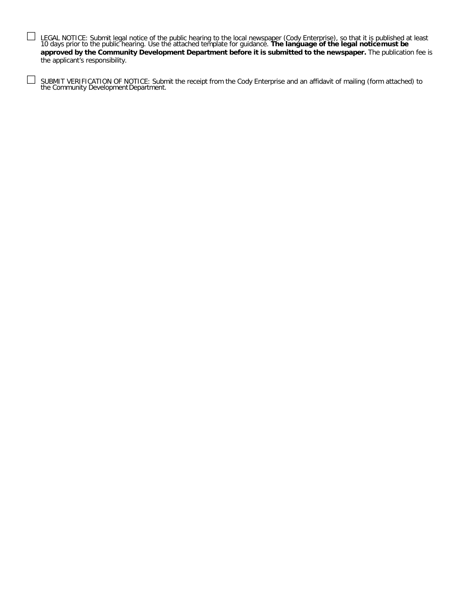LEGAL NOTICE: Submit legal notice of the public hearing to the local newspaper (Cody Enterprise), so that it is published at least 10 days prior to the public hearing. Use the attached template for guidance. The language o **approved by the Community Development Department before it is submitted to the newspaper.** The publication fee is the applicant's responsibility.

□ SUBMIT VERIFICATION OF NOTICE: Submit the receipt from the Cody Enterprise and an affidavit of mailing (form attached) to the Community DevelopmentDepartment.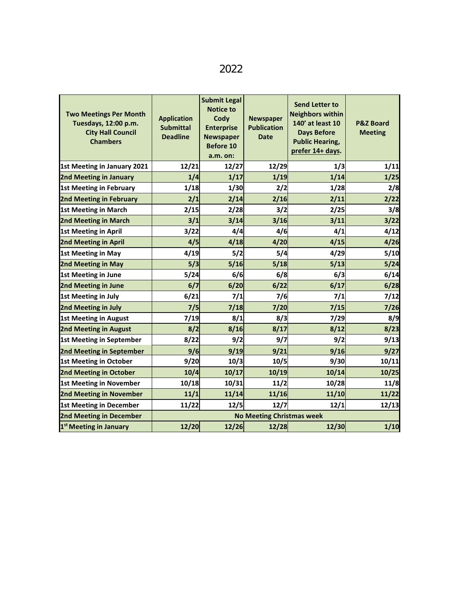| <b>Two Meetings Per Month</b><br>Tuesdays, 12:00 p.m.<br><b>City Hall Council</b><br><b>Chambers</b> | <b>Application</b><br><b>Submittal</b><br><b>Deadline</b> | <b>Submit Legal</b><br><b>Notice to</b><br>Cody<br><b>Enterprise</b><br><b>Newspaper</b><br><b>Before 10</b><br>a.m. on: | <b>Newspaper</b><br><b>Publication</b><br><b>Date</b> | <b>Send Letter to</b><br><b>Neighbors within</b><br>140' at least 10<br><b>Days Before</b><br><b>Public Hearing,</b><br>prefer 14+ days. | <b>P&amp;Z Board</b><br><b>Meeting</b> |
|------------------------------------------------------------------------------------------------------|-----------------------------------------------------------|--------------------------------------------------------------------------------------------------------------------------|-------------------------------------------------------|------------------------------------------------------------------------------------------------------------------------------------------|----------------------------------------|
| 1st Meeting in January 2021                                                                          | 12/21                                                     | 12/27                                                                                                                    | 12/29                                                 | 1/3                                                                                                                                      | 1/11                                   |
| 2nd Meeting in January                                                                               | 1/4                                                       | 1/17                                                                                                                     | 1/19                                                  | 1/14                                                                                                                                     | 1/25                                   |
| 1st Meeting in February                                                                              | 1/18                                                      | 1/30                                                                                                                     | 2/2                                                   | 1/28                                                                                                                                     | 2/8                                    |
| <b>2nd Meeting in February</b>                                                                       | 2/1                                                       | 2/14                                                                                                                     | 2/16                                                  | 2/11                                                                                                                                     | 2/22                                   |
| <b>1st Meeting in March</b>                                                                          | 2/15                                                      | 2/28                                                                                                                     | 3/2                                                   | 2/25                                                                                                                                     | 3/8                                    |
| 2nd Meeting in March                                                                                 | $3/1$                                                     | 3/14                                                                                                                     | 3/16                                                  | 3/11                                                                                                                                     | 3/22                                   |
| 1st Meeting in April                                                                                 | 3/22                                                      | 4/4                                                                                                                      | 4/6                                                   | 4/1                                                                                                                                      | 4/12                                   |
| 2nd Meeting in April                                                                                 | 4/5                                                       | 4/18                                                                                                                     | 4/20                                                  | 4/15                                                                                                                                     | 4/26                                   |
| 1st Meeting in May                                                                                   | 4/19                                                      | 5/2                                                                                                                      | 5/4                                                   | 4/29                                                                                                                                     | 5/10                                   |
| 2nd Meeting in May                                                                                   | 5/3                                                       | 5/16                                                                                                                     | 5/18                                                  | 5/13                                                                                                                                     | $5/24$                                 |
| 1st Meeting in June                                                                                  | 5/24                                                      | 6/6                                                                                                                      | 6/8                                                   | 6/3                                                                                                                                      | 6/14                                   |
| 2nd Meeting in June                                                                                  | 6/7                                                       | 6/20                                                                                                                     | 6/22                                                  | 6/17                                                                                                                                     | 6/28                                   |
| 1st Meeting in July                                                                                  | 6/21                                                      | 7/1                                                                                                                      | 7/6                                                   | 7/1                                                                                                                                      | 7/12                                   |
| 2nd Meeting in July                                                                                  | 7/5                                                       | 7/18                                                                                                                     | 7/20                                                  | 7/15                                                                                                                                     | 7/26                                   |
| 1st Meeting in August                                                                                | 7/19                                                      | 8/1                                                                                                                      | 8/3                                                   | 7/29                                                                                                                                     | 8/9                                    |
| 2nd Meeting in August                                                                                | 8/2                                                       | 8/16                                                                                                                     | 8/17                                                  | 8/12                                                                                                                                     | 8/23                                   |
| 1st Meeting in September                                                                             | 8/22                                                      | 9/2                                                                                                                      | 9/7                                                   | 9/2                                                                                                                                      | 9/13                                   |
| 2nd Meeting in September                                                                             | 9/6                                                       | 9/19                                                                                                                     | 9/21                                                  | 9/16                                                                                                                                     | 9/27                                   |
| 1st Meeting in October                                                                               | 9/20                                                      | 10/3                                                                                                                     | 10/5                                                  | 9/30                                                                                                                                     | 10/11                                  |
| 2nd Meeting in October                                                                               | 10/4                                                      | 10/17                                                                                                                    | 10/19                                                 | 10/14                                                                                                                                    | 10/25                                  |
| <b>1st Meeting in November</b>                                                                       | 10/18                                                     | 10/31                                                                                                                    | 11/2                                                  | 10/28                                                                                                                                    | 11/8                                   |
| 2nd Meeting in November                                                                              | 11/1                                                      | 11/14                                                                                                                    | 11/16                                                 | 11/10                                                                                                                                    | 11/22                                  |
| 1st Meeting in December                                                                              | 11/22                                                     | 12/5                                                                                                                     | 12/7                                                  | 12/1                                                                                                                                     | 12/13                                  |
| 2nd Meeting in December                                                                              | <b>No Meeting Christmas week</b>                          |                                                                                                                          |                                                       |                                                                                                                                          |                                        |
| 1 <sup>st</sup> Meeting in January                                                                   | 12/20                                                     | 12/26                                                                                                                    | 12/28                                                 | 12/30                                                                                                                                    | 1/10                                   |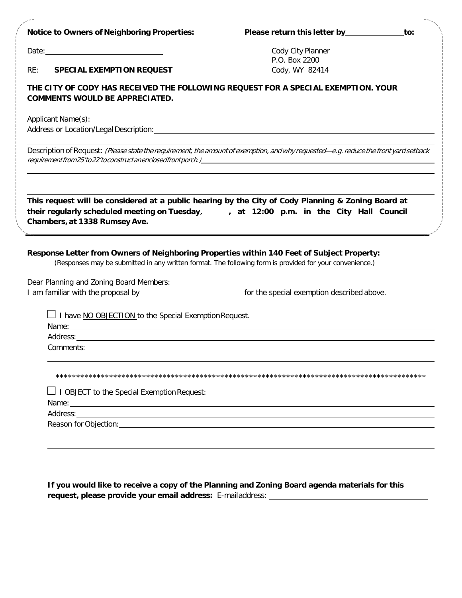Date: <u>example</u>

 $RE:$ **SPECIAL EXEMPTION REQUEST**  Cody City Planner P.O. Box 2200 Cody, WY 82414

## THE CITY OF CODY HAS RECEIVED THE FOLLOWING REQUEST FOR A SPECIAL EXEMPTION. YOUR **COMMENTS WOULD BE APPRECIATED.**

Address or Location/Legal Description: example and a set of the set of the set of the set of the set of the set of the set of the set of the set of the set of the set of the set of the set of the set of the set of the set

Description of Request: (Please state the requirement, the amount of exemption, and why requested—e.g. reduce the front yard setback requirement from 25' to 22' to construct an enclosed front porch.)

| This request will be considered at a public hearing by the City of Cody Planning & Zoning Board at |  |  |  |                                        |
|----------------------------------------------------------------------------------------------------|--|--|--|----------------------------------------|
| their regularly scheduled meeting on Tuesday, https://www.                                         |  |  |  | at 12:00 p.m. in the City Hall Council |
| Chambers, at 1338 Rumsey Ave.                                                                      |  |  |  |                                        |

## Response Letter from Owners of Neighboring Properties within 140 Feet of Subject Property:

(Responses may be submitted in any written format. The following form is provided for your convenience.)

Dear Planning and Zoning Board Members:

I am familiar with the proposal by example to the special exemption described above.

 $\Box$  I have NO OBJECTION to the Special Exemption Request.

| Name:                                                                                                                            |  |
|----------------------------------------------------------------------------------------------------------------------------------|--|
| Address:<br><u> 1989 - Johann Barn, amerikan bernama di sebagai bernama dan bernama di sebagai bernama dalam bernama dalam b</u> |  |
| Comments:<br><u>a sa mga banda ang pag-pagsalang ng mga banda ang pagpagayang ng mga banda ang pagpagayang ng mga banda ang</u>  |  |
|                                                                                                                                  |  |
|                                                                                                                                  |  |
|                                                                                                                                  |  |
|                                                                                                                                  |  |

 $\Box$  I OBJECT to the Special Exemption Request:

Name: Name and the state of the state of the state of the state of the state of the state of the state of the state of the state of the state of the state of the state of the state of the state of the state of the state of

Address:

Reason for Objection: 1997

If you would like to receive a copy of the Planning and Zoning Board agenda materials for this request, please provide your email address: E-mailaddress: